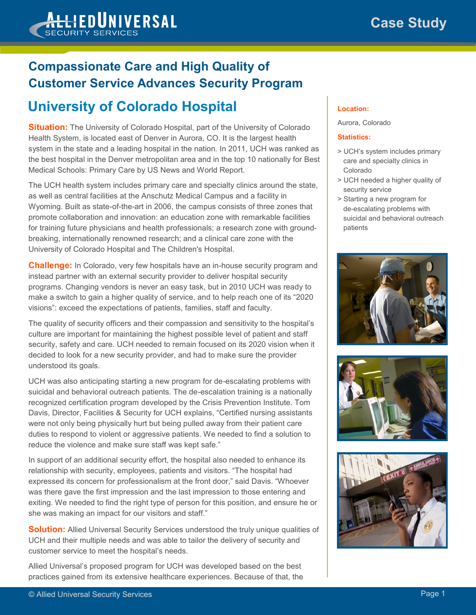### **HEDUNIVERSAL SECURITY SERVICES**

# **Compassionate Care and High Quality of Customer Service Advances Security Program**

## **University of Colorado Hospital**

**Situation:** The University of Colorado Hospital, part of the University of Colorado Health System, is located east of Denver in Aurora, CO. It is the largest health system in the state and a leading hospital in the nation. In 2011, UCH was ranked as the best hospital in the Denver metropolitan area and in the top 10 nationally for Best Medical Schools: Primary Care by US News and World Report.

The UCH health system includes primary care and specialty clinics around the state, as well as central facilities at the Anschutz Medical Campus and a facility in Wyoming. Built as state-of-the-art in 2006, the campus consists of three zones that promote collaboration and innovation: an education zone with remarkable facilities for training future physicians and health professionals; a research zone with groundbreaking, internationally renowned research; and a clinical care zone with the University of Colorado Hospital and The Children's Hospital.

**Challenge:** In Colorado, very few hospitals have an in-house security program and instead partner with an external security provider to deliver hospital security programs. Changing vendors is never an easy task, but in 2010 UCH was ready to make a switch to gain a higher quality of service, and to help reach one of its "2020 visions": exceed the expectations of patients, families, staff and faculty.

The quality of security officers and their compassion and sensitivity to the hospital's culture are important for maintaining the highest possible level of patient and staff security, safety and care. UCH needed to remain focused on its 2020 vision when it decided to look for a new security provider, and had to make sure the provider understood its goals.

UCH was also anticipating starting a new program for de-escalating problems with suicidal and behavioral outreach patients. The de-escalation training is a nationally recognized certification program developed by the Crisis Prevention Institute. Tom Davis, Director, Facilities & Security for UCH explains, "Certified nursing assistants were not only being physically hurt but being pulled away from their patient care duties to respond to violent or aggressive patients. We needed to find a solution to reduce the violence and make sure staff was kept safe."

In support of an additional security effort, the hospital also needed to enhance its relationship with security, employees, patients and visitors. "The hospital had expressed its concern for professionalism at the front door," said Davis. "Whoever was there gave the first impression and the last impression to those entering and exiting. We needed to find the right type of person for this position, and ensure he or she was making an impact for our visitors and staff."

**Solution:** Allied Universal Security Services understood the truly unique qualities of UCH and their multiple needs and was able to tailor the delivery of security and customer service to meet the hospital's needs.

Allied Universal's proposed program for UCH was developed based on the best practices gained from its extensive healthcare experiences. Because of that, the

#### **Location:**

#### Aurora, Colorado

#### **Statistics:**

- > UCH's system includes primary care and specialty clinics in Colorado
- > UCH needed a higher quality of security service
- > Starting a new program for de-escalating problems with suicidal and behavioral outreach patients